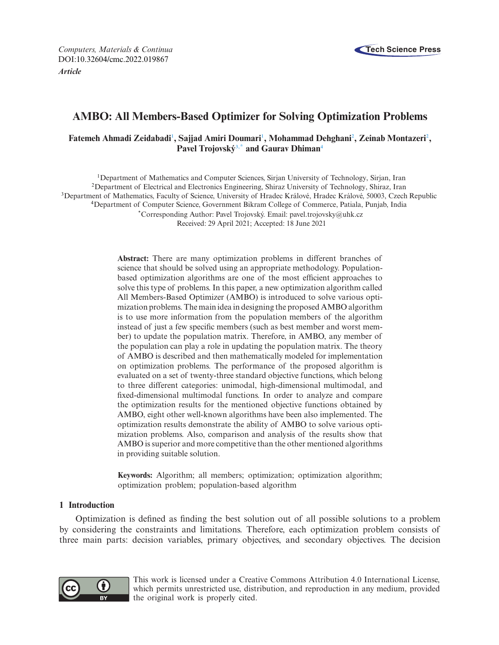*Computers, Materials & Continua* **Tech Science Press** DOI[:10.32604/cmc.2022.019867](http://dx.doi.org/10.32604/cmc.2022.019867)

*Article*



# **AMBO: All Members-Based Optimizer for Solving Optimization Problems**

# Fatemeh Ahmadi Zeidabadi<sup>1</sup>, Sajjad Amiri Doumari<sup>1</sup>, Mohammad Dehghani<sup>2</sup>, Zeinab Montazeri<sup>2</sup>, **Pavel Trojovsk[ý3,](#page-0-2)[\\*](#page-0-3) and Gaurav Dhima[n4](#page-0-4)**

<span id="page-0-4"></span><span id="page-0-2"></span><span id="page-0-1"></span><span id="page-0-0"></span>1Department of Mathematics and Computer Sciences, Sirjan University of Technology, Sirjan, Iran 2Department of Electrical and Electronics Engineering, Shiraz University of Technology, Shiraz, Iran 3Department of Mathematics, Faculty of Science, University of Hradec Králové, Hradec Králové, 50003, Czech Republic 4Department of Computer Science, Government Bikram College of Commerce, Patiala, Punjab, India \*Corresponding Author: Pavel Trojovský. Email: pavel.trojovsky@uhk.cz Received: 29 April 2021; Accepted: 18 June 2021

> <span id="page-0-3"></span>**Abstract:** There are many optimization problems in different branches of science that should be solved using an appropriate methodology. Populationbased optimization algorithms are one of the most efficient approaches to solve this type of problems. In this paper, a new optimization algorithm called All Members-Based Optimizer (AMBO) is introduced to solve various optimization problems. The main idea in designing the proposed AMBO algorithm is to use more information from the population members of the algorithm instead of just a few specific members (such as best member and worst member) to update the population matrix. Therefore, in AMBO, any member of the population can play a role in updating the population matrix. The theory of AMBO is described and then mathematically modeled for implementation on optimization problems. The performance of the proposed algorithm is evaluated on a set of twenty-three standard objective functions, which belong to three different categories: unimodal, high-dimensional multimodal, and fixed-dimensional multimodal functions. In order to analyze and compare the optimization results for the mentioned objective functions obtained by AMBO, eight other well-known algorithms have been also implemented. The optimization results demonstrate the ability of AMBO to solve various optimization problems. Also, comparison and analysis of the results show that AMBO is superior and more competitive than the other mentioned algorithms in providing suitable solution.

> **Keywords:** Algorithm; all members; optimization; optimization algorithm; optimization problem; population-based algorithm

## **1 Introduction**

Optimization is defined as finding the best solution out of all possible solutions to a problem by considering the constraints and limitations. Therefore, each optimization problem consists of three main parts: decision variables, primary objectives, and secondary objectives. The decision



This work is licensed under a Creative Commons Attribution 4.0 International License, which permits unrestricted use, distribution, and reproduction in any medium, provided the original work is properly cited.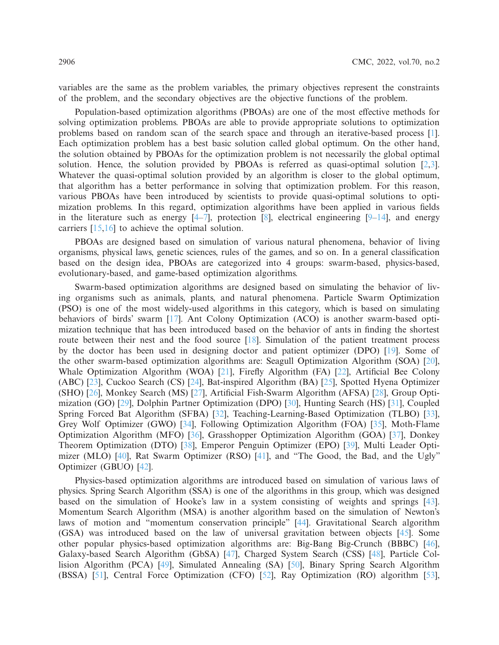variables are the same as the problem variables, the primary objectives represent the constraints of the problem, and the secondary objectives are the objective functions of the problem.

Population-based optimization algorithms (PBOAs) are one of the most effective methods for solving optimization problems. PBOAs are able to provide appropriate solutions to optimization problems based on random scan of the search space and through an iterative-based process [\[1\]](#page-11-0). Each optimization problem has a best basic solution called global optimum. On the other hand, the solution obtained by PBOAs for the optimization problem is not necessarily the global optimal solution. Hence, the solution provided by PBOAs is referred as quasi-optimal solution [\[2](#page-11-1)[,3\]](#page-11-2). Whatever the quasi-optimal solution provided by an algorithm is closer to the global optimum, that algorithm has a better performance in solving that optimization problem. For this reason, various PBOAs have been introduced by scientists to provide quasi-optimal solutions to optimization problems. In this regard, optimization algorithms have been applied in various fields in the literature such as energy  $[4-7]$  $[4-7]$ , protection  $[8]$  $[8]$ , electrical engineering  $[9-14]$  $[9-14]$ , and energy carriers [\[15](#page-12-1)[,16\]](#page-12-2) to achieve the optimal solution.

PBOAs are designed based on simulation of various natural phenomena, behavior of living organisms, physical laws, genetic sciences, rules of the games, and so on. In a general classification based on the design idea, PBOAs are categorized into 4 groups: swarm-based, physics-based, evolutionary-based, and game-based optimization algorithms.

Swarm-based optimization algorithms are designed based on simulating the behavior of living organisms such as animals, plants, and natural phenomena. Particle Swarm Optimization (PSO) is one of the most widely-used algorithms in this category, which is based on simulating behaviors of birds' swarm [\[17\]](#page-12-3). Ant Colony Optimization (ACO) is another swarm-based optimization technique that has been introduced based on the behavior of ants in finding the shortest route between their nest and the food source [\[18\]](#page-12-4). Simulation of the patient treatment process by the doctor has been used in designing doctor and patient optimizer (DPO) [\[19\]](#page-12-5). Some of the other swarm-based optimization algorithms are: Seagull Optimization Algorithm (SOA) [\[20\]](#page-12-6), Whale Optimization Algorithm (WOA) [\[21](#page-12-7)], Firefly Algorithm (FA) [\[22](#page-12-8)], Artificial Bee Colony (ABC) [\[23\]](#page-12-9), Cuckoo Search (CS) [\[24\]](#page-12-10), Bat-inspired Algorithm (BA) [\[25](#page-12-11)], Spotted Hyena Optimizer (SHO) [\[26](#page-12-12)], Monkey Search (MS) [\[27\]](#page-12-13), Artificial Fish-Swarm Algorithm (AFSA) [\[28](#page-12-14)], Group Optimization (GO) [\[29\]](#page-12-15), Dolphin Partner Optimization (DPO) [\[30](#page-12-16)], Hunting Search (HS) [\[31\]](#page-12-17), Coupled Spring Forced Bat Algorithm (SFBA) [\[32](#page-13-0)], Teaching-Learning-Based Optimization (TLBO) [\[33\]](#page-13-1), Grey Wolf Optimizer (GWO) [\[34](#page-13-2)], Following Optimization Algorithm (FOA) [\[35\]](#page-13-3), Moth-Flame Optimization Algorithm (MFO) [\[36\]](#page-13-4), Grasshopper Optimization Algorithm (GOA) [\[37](#page-13-5)], Donkey Theorem Optimization (DTO) [\[38](#page-13-6)], Emperor Penguin Optimizer (EPO) [\[39\]](#page-13-7), Multi Leader Opti-mizer (MLO) [\[40](#page-13-8)], Rat Swarm Optimizer (RSO) [\[41\]](#page-13-9), and "The Good, the Bad, and the Ugly" Optimizer (GBUO) [\[42](#page-13-10)].

Physics-based optimization algorithms are introduced based on simulation of various laws of physics. Spring Search Algorithm (SSA) is one of the algorithms in this group, which was designed based on the simulation of Hooke's law in a system consisting of weights and springs [\[43\]](#page-13-11). Momentum Search Algorithm (MSA) is another algorithm based on the simulation of Newton's laws of motion and "momentum conservation principle" [\[44\]](#page-13-12). Gravitational Search algorithm (GSA) was introduced based on the law of universal gravitation between objects [\[45\]](#page-13-13). Some other popular physics-based optimization algorithms are: Big-Bang Big-Crunch (BBBC) [\[46\]](#page-13-14), Galaxy-based Search Algorithm (GbSA) [\[47\]](#page-13-15), Charged System Search (CSS) [\[48](#page-13-16)], Particle Collision Algorithm (PCA) [\[49\]](#page-13-17), Simulated Annealing (SA) [\[50\]](#page-13-18), Binary Spring Search Algorithm (BSSA) [\[51](#page-13-19)], Central Force Optimization (CFO) [\[52\]](#page-13-20), Ray Optimization (RO) algorithm [\[53\]](#page-14-0),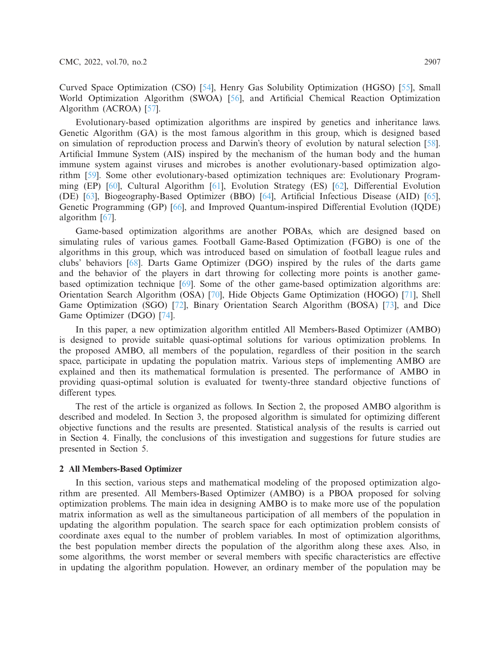Curved Space Optimization (CSO) [\[54](#page-14-1)], Henry Gas Solubility Optimization (HGSO) [\[55\]](#page-14-2), Small World Optimization Algorithm (SWOA) [\[56\]](#page-14-3), and Artificial Chemical Reaction Optimization Algorithm (ACROA) [\[57\]](#page-14-4).

Evolutionary-based optimization algorithms are inspired by genetics and inheritance laws. Genetic Algorithm (GA) is the most famous algorithm in this group, which is designed based on simulation of reproduction process and Darwin's theory of evolution by natural selection [\[58\]](#page-14-5). Artificial Immune System (AIS) inspired by the mechanism of the human body and the human immune system against viruses and microbes is another evolutionary-based optimization algorithm [\[59](#page-14-6)]. Some other evolutionary-based optimization techniques are: Evolutionary Programming (EP) [\[60](#page-14-7)], Cultural Algorithm [\[61](#page-14-8)], Evolution Strategy (ES) [\[62](#page-14-9)], Differential Evolution (DE) [\[63](#page-14-10)], Biogeography-Based Optimizer (BBO) [\[64\]](#page-14-11), Artificial Infectious Disease (AID) [\[65\]](#page-14-12), Genetic Programming (GP) [\[66](#page-14-13)], and Improved Quantum-inspired Differential Evolution (IQDE) algorithm [\[67](#page-14-14)].

Game-based optimization algorithms are another POBAs, which are designed based on simulating rules of various games. Football Game-Based Optimization (FGBO) is one of the algorithms in this group, which was introduced based on simulation of football league rules and clubs' behaviors [\[68\]](#page-14-15). Darts Game Optimizer (DGO) inspired by the rules of the darts game and the behavior of the players in dart throwing for collecting more points is another gamebased optimization technique [\[69](#page-14-16)]. Some of the other game-based optimization algorithms are: Orientation Search Algorithm (OSA) [\[70\]](#page-14-17), Hide Objects Game Optimization (HOGO) [\[71](#page-14-18)], Shell Game Optimization (SGO) [\[72](#page-14-19)], Binary Orientation Search Algorithm (BOSA) [\[73\]](#page-14-20), and Dice Game Optimizer (DGO) [\[74](#page-15-0)].

In this paper, a new optimization algorithm entitled All Members-Based Optimizer (AMBO) is designed to provide suitable quasi-optimal solutions for various optimization problems. In the proposed AMBO, all members of the population, regardless of their position in the search space, participate in updating the population matrix. Various steps of implementing AMBO are explained and then its mathematical formulation is presented. The performance of AMBO in providing quasi-optimal solution is evaluated for twenty-three standard objective functions of different types.

The rest of the article is organized as follows. In Section 2, the proposed AMBO algorithm is described and modeled. In Section 3, the proposed algorithm is simulated for optimizing different objective functions and the results are presented. Statistical analysis of the results is carried out in Section 4. Finally, the conclusions of this investigation and suggestions for future studies are presented in Section 5.

#### **2 All Members-Based Optimizer**

In this section, various steps and mathematical modeling of the proposed optimization algorithm are presented. All Members-Based Optimizer (AMBO) is a PBOA proposed for solving optimization problems. The main idea in designing AMBO is to make more use of the population matrix information as well as the simultaneous participation of all members of the population in updating the algorithm population. The search space for each optimization problem consists of coordinate axes equal to the number of problem variables. In most of optimization algorithms, the best population member directs the population of the algorithm along these axes. Also, in some algorithms, the worst member or several members with specific characteristics are effective in updating the algorithm population. However, an ordinary member of the population may be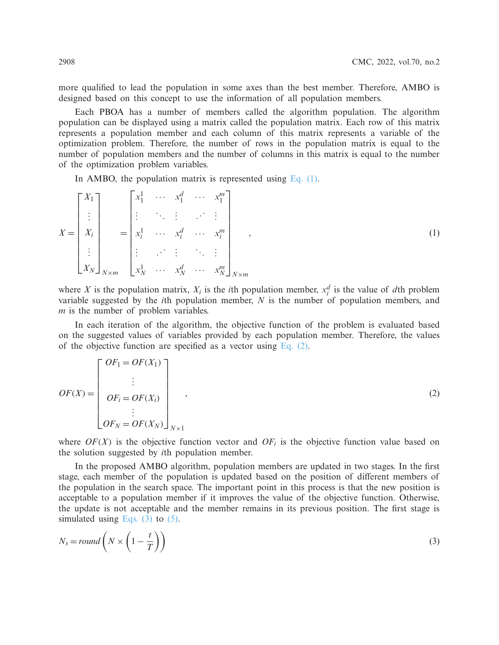more qualified to lead the population in some axes than the best member. Therefore, AMBO is designed based on this concept to use the information of all population members.

Each PBOA has a number of members called the algorithm population. The algorithm population can be displayed using a matrix called the population matrix. Each row of this matrix represents a population member and each column of this matrix represents a variable of the optimization problem. Therefore, the number of rows in the population matrix is equal to the number of population members and the number of columns in this matrix is equal to the number of the optimization problem variables.

<span id="page-3-0"></span>In AMBO, the population matrix is represented using Eq.  $(1)$ .

$$
X = \begin{bmatrix} X_1 \\ \vdots \\ X_i \\ \vdots \\ X_N \end{bmatrix}_{N \times m} = \begin{bmatrix} x_1^1 & \cdots & x_1^d & \cdots & x_1^m \\ \vdots & \ddots & \vdots & \ddots & \vdots \\ x_i^1 & \cdots & x_i^d & \cdots & x_i^m \\ \vdots & \vdots & \ddots & \vdots & \ddots & \vdots \\ x_N^1 & \cdots & x_N^d & \cdots & x_N^m \end{bmatrix}_{N \times m}, \qquad (1)
$$

where *X* is the population matrix,  $X_i$  is the *i*th population member,  $x_i^d$  is the value of *d*th problem variable suggested by the *i*th population member, *N* is the number of population members, and *m* is the number of problem variables.

In each iteration of the algorithm, the objective function of the problem is evaluated based on the suggested values of variables provided by each population member. Therefore, the values of the objective function are specified as a vector using Eq.  $(2)$ .

<span id="page-3-1"></span>
$$
OF(X) = \begin{bmatrix} OF_1 = OF(X_1) \\ \vdots \\ OF_i = OF(X_i) \\ \vdots \\ OF_N = OF(X_N) \end{bmatrix}_{N \times 1},
$$
\n(2)

where  $OF(X)$  is the objective function vector and  $OF<sub>i</sub>$  is the objective function value based on the solution suggested by *i*th population member.

In the proposed AMBO algorithm, population members are updated in two stages. In the first stage, each member of the population is updated based on the position of different members of the population in the search space. The important point in this process is that the new position is acceptable to a population member if it improves the value of the objective function. Otherwise, the update is not acceptable and the member remains in its previous position. The first stage is simulated using Eqs.  $(3)$  to  $(5)$ .

<span id="page-3-2"></span>
$$
N_s = round\left(N \times \left(1 - \frac{t}{T}\right)\right) \tag{3}
$$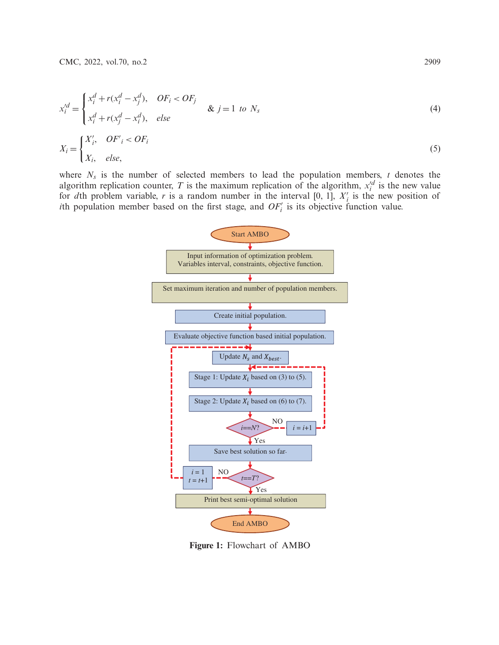<span id="page-4-0"></span>
$$
x_i'^d = \begin{cases} x_i^d + r(x_i^d - x_j^d), & OF_i < OF_j \\ x_i^d + r(x_j^d - x_i^d), & else \end{cases} \qquad \& j = 1 \text{ to } N_s
$$
\n
$$
X_i = \begin{cases} X_i', & OF_i < OF_i \\ X_i, & else, \end{cases} \tag{4}
$$

where *Ns* is the number of selected members to lead the population members, *t* denotes the algorithm replication counter, *T* is the maximum replication of the algorithm,  $x_i^d$  is the new value for *d*th problem variable, *r* is a random number in the interval [0, 1],  $X_i$  is the new position of *i*th population member based on the first stage, and  $OF_i'$  is its objective function value.



<span id="page-4-1"></span>**Figure 1:** Flowchart of AMBO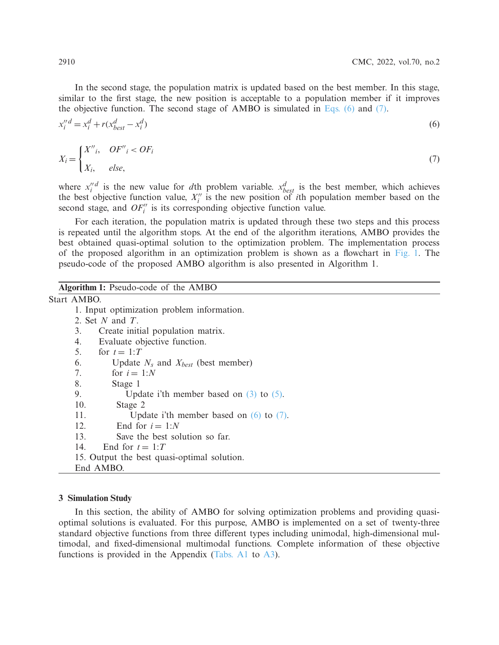In the second stage, the population matrix is updated based on the best member. In this stage, similar to the first stage, the new position is acceptable to a population member if it improves the objective function. The second stage of AMBO is simulated in [Eqs. \(6\)](#page-5-0) and [\(7\).](#page-5-1)

<span id="page-5-0"></span>
$$
x_i^{\prime\prime} = x_i^d + r(x_{best}^d - x_i^d) \tag{6}
$$

<span id="page-5-1"></span>
$$
X_i = \begin{cases} X''_i, & OF''_i < OF_i \\ X_i, & else, \end{cases} \tag{7}
$$

where  $x_i''$  is the new value for *d*th problem variable.  $x_{best}^d$  is the best member, which achieves the best objective function value,  $X_i''$  is the new position of *i*th population member based on the second stage, and  $OF_i''$  is its corresponding objective function value.

For each iteration, the population matrix is updated through these two steps and this process is repeated until the algorithm stops. At the end of the algorithm iterations, AMBO provides the best obtained quasi-optimal solution to the optimization problem. The implementation process of the proposed algorithm in an optimization problem is shown as a flowchart in [Fig. 1.](#page-4-1) The pseudo-code of the proposed AMBO algorithm is also presented in Algorithm 1.

## **Algorithm 1:** Pseudo-code of the AMBO

Start AMBO.

- 1. Input optimization problem information.
- 2. Set *N* and *T*.
- 3. Create initial population matrix.
- 4. Evaluate objective function.
- 5. for  $t = 1:T$
- 6. Update  $N_s$  and  $X_{best}$  (best member)<br>7. for  $i = 1:N$
- for  $i = 1:N$
- 8. Stage 1
- 9. Update i'th member based on [\(3\)](#page-3-2) to [\(5\).](#page-4-0)
- 10. Stage 2
- 11. Update i'th member based on [\(6\)](#page-5-0) to [\(7\).](#page-5-1)
- 12. End for  $i = 1:N$
- 13. Save the best solution so far.
- 14. End for  $t = 1:T$
- 15. Output the best quasi-optimal solution.
- End AMBO.

#### **3 Simulation Study**

In this section, the ability of AMBO for solving optimization problems and providing quasioptimal solutions is evaluated. For this purpose, AMBO is implemented on a set of twenty-three standard objective functions from three different types including unimodal, high-dimensional multimodal, and fixed-dimensional multimodal functions. Complete information of these objective functions is provided in the Appendix [\(Tabs. A1](#page-15-1) to [A3\)](#page-16-0).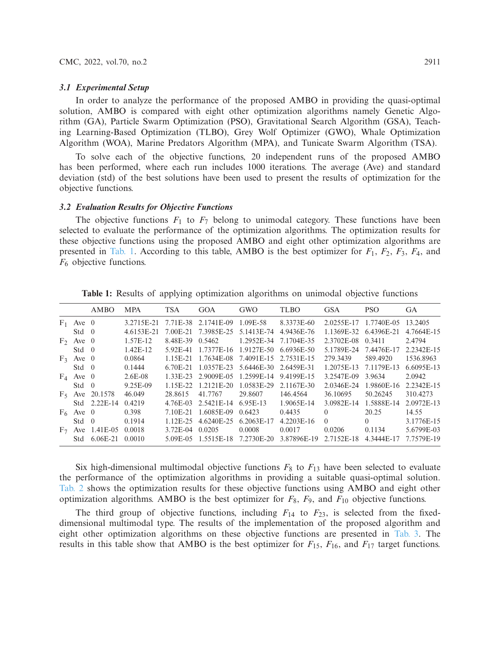#### *3.1 Experimental Setup*

In order to analyze the performance of the proposed AMBO in providing the quasi-optimal solution, AMBO is compared with eight other optimization algorithms namely Genetic Algorithm (GA), Particle Swarm Optimization (PSO), Gravitational Search Algorithm (GSA), Teaching Learning-Based Optimization (TLBO), Grey Wolf Optimizer (GWO), Whale Optimization Algorithm (WOA), Marine Predators Algorithm (MPA), and Tunicate Swarm Algorithm (TSA).

To solve each of the objective functions, 20 independent runs of the proposed AMBO has been performed, where each run includes 1000 iterations. The average (Ave) and standard deviation (std) of the best solutions have been used to present the results of optimization for the objective functions.

### *3.2 Evaluation Results for Objective Functions*

The objective functions  $F_1$  to  $F_7$  belong to unimodal category. These functions have been selected to evaluate the performance of the optimization algorithms. The optimization results for these objective functions using the proposed AMBO and eight other optimization algorithms are presented in [Tab. 1.](#page-6-0) According to this table, AMBO is the best optimizer for  $F_1$ ,  $F_2$ ,  $F_3$ ,  $F_4$ , and *F*<sup>6</sup> objective functions.

<span id="page-6-0"></span>

|                |               | AMBO           | <b>MPA</b> | <b>TSA</b>  | <b>GOA</b>            | GWO        | TLBO        | <b>GSA</b> | <b>PSO</b>            | <b>GA</b>  |
|----------------|---------------|----------------|------------|-------------|-----------------------|------------|-------------|------------|-----------------------|------------|
| F <sub>1</sub> | Ave $0$       |                | 3.2715E-21 |             | 7.71 E-38 2.1741 E-09 | 1.09E-58   | 8.3373E-60  |            | 2.0255E-17 1.7740E-05 | 13.2405    |
|                | $Std \quad 0$ |                | 4.6153E-21 | 7.00E-21    | 7.3985E-25            | 5.1413E-74 | 4.9436E-76  | 1.1369E-32 | 6.4396E-21            | 4.7664E-15 |
|                | $F_2$ Ave 0   |                | 1.57E-12   | 8.48E-39    | 0.5462                | 1.2952E-34 | 7.1704E-35  | 2.3702E-08 | 0.3411                | 2.4794     |
|                | $Std \quad 0$ |                | $1.42E-12$ | 5.92E-41    | 1.7377E-16            | 1.9127E-50 | 6.6936E-50  | 5.1789E-24 | 7.4476E-17            | 2.2342E-15 |
|                | $F_3$ Ave 0   |                | 0.0864     | 1.15E-21    | 1.7634E-08            | 7.4091E-15 | 2.7531E-15  | 279.3439   | 589.4920              | 1536.8963  |
|                | $Std \quad 0$ |                | 0.1444     | 6.70E-21    | 1.0357E-23            | 5.6446E-30 | 2.6459E-31  | 1.2075E-13 | 7.1179E-13            | 6.6095E-13 |
|                | $F_4$ Ave 0   |                | $2.6E-08$  | $1.33E-23$  | 2.9009E-05            | 1.2599E-14 | 9.4199E-15  | 3.2547E-09 | 3.9634                | 2.0942     |
|                | $Std \quad 0$ |                | 9.25E-09   | $1.15E-22.$ | 1.2121F-20            | 1.0583E-29 | 2.1167E-30  | 2.0346E-24 | 1.9860E-16            | 2.2342F-15 |
|                | $F_5$ Ave     | 20.1578        | 46.049     | 28.8615     | 41.7767               | 29.8607    | 146.4564    | 36.10695   | 50.26245              | 310.4273   |
|                |               | $Std$ 2.22E-14 | 0.4219     | 4.76E-03    | 2.5421E-14            | 6.95E-13   | 1.9065E-14  | 3.0982E-14 | 1.5888E-14            | 2.0972E-13 |
|                | $F_6$ Ave 0   |                | 0.398      | 7.10E-21    | 1.6085E-09            | 0.6423     | 0.4435      | $\Omega$   | 20.25                 | 14.55      |
|                | Std           | $\theta$       | 0.1914     | 1.12E-25    | 4.6240E-25            | 6.2063E-17 | 4.2203E-16  | $\Omega$   | 0                     | 3.1776E-15 |
| $F_7$          | Ave           | 1.41 E-05      | 0.0018     | 3.72E-04    | 0.0205                | 0.0008     | 0.0017      | 0.0206     | 0.1134                | 5.6799E-03 |
|                | Std           | $6.06E-21$     | 0.0010     | 5.09E-05    | 1.5515E-18            | 7.2730E-20 | 3.87896E-19 | 2.7152E-18 | 4.3444E-17            | 7.7579E-19 |

**Table 1:** Results of applying optimization algorithms on unimodal objective functions

Six high-dimensional multimodal objective functions *F*<sup>8</sup> to *F*<sup>13</sup> have been selected to evaluate the performance of the optimization algorithms in providing a suitable quasi-optimal solution. [Tab. 2](#page-7-0) shows the optimization results for these objective functions using AMBO and eight other optimization algorithms. AMBO is the best optimizer for  $F_8$ ,  $F_9$ , and  $F_{10}$  objective functions.

The third group of objective functions, including  $F_{14}$  to  $F_{23}$ , is selected from the fixeddimensional multimodal type. The results of the implementation of the proposed algorithm and eight other optimization algorithms on these objective functions are presented in [Tab. 3.](#page-7-1) The results in this table show that AMBO is the best optimizer for *F*15, *F*16, and *F*<sup>17</sup> target functions.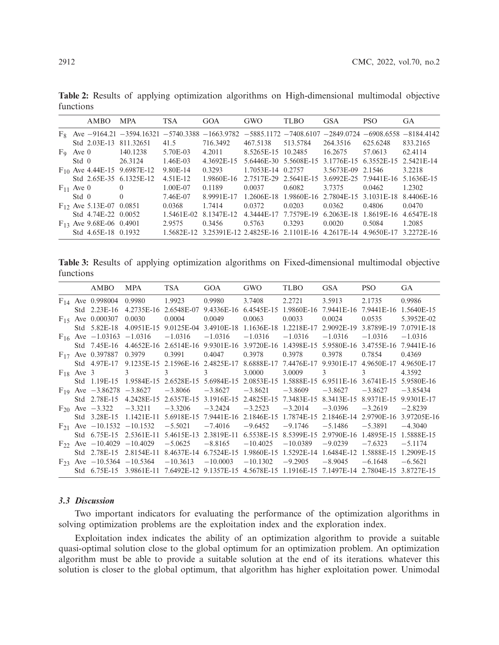|                | AMBO                         | <b>MPA</b>                                                                 | <b>TSA</b> | GOA                                          | GWO                   | <b>TLBO</b> | <b>GSA</b>        | <b>PSO</b>                       | <b>GA</b>                |
|----------------|------------------------------|----------------------------------------------------------------------------|------------|----------------------------------------------|-----------------------|-------------|-------------------|----------------------------------|--------------------------|
|                |                              | $F_8$ Ave -9164.21 -3594.16321 -5740.3388 -1663.9782 -5885.1172 -7408.6107 |            |                                              |                       |             | $-2849.0724$      |                                  | $-6908.6558 - 8184.4142$ |
|                |                              | Std 2.03E-13 811.32651                                                     | 41.5       | 716.3492                                     | 467.5138              | 513.5784    | 264.3516          | 625.6248                         | 833.2165                 |
| $F_9$ Ave 0    |                              | 140.1238                                                                   | 5.70E-03   | 4.2011                                       | 8.5265E-15 10.2485    |             | 16.2675           | 57.0613                          | 62.4114                  |
| Std 0          |                              | 26.3124                                                                    | $1.46E-03$ | 4.3692E-15                                   | 5.6446E-30 5.5608E-15 |             |                   | 3.1776E-15 6.3552E-15 2.5421E-14 |                          |
|                |                              | $F_{10}$ Ave 4.44E-15 9.6987E-12                                           | 9.80E-14   | 0.3293                                       | 1.7053E-14 0.2757     |             | 3.5673E-09 2.1546 |                                  | 3.2218                   |
|                |                              | Std 2.65E-35 6.1325E-12                                                    | 4.51E-12   | 1.9860E-16                                   | 2.7517E-29 2.5641E-15 |             |                   | 3.6992E-25 7.9441E-16 5.1636E-15 |                          |
| $F_{11}$ Ave 0 |                              | $\theta$                                                                   | 1.00E-07   | 0.1189                                       | 0.0037                | 0.6082      | 3.7375            | 0.0462                           | 1.2302                   |
| Std 0          |                              | $\Omega$                                                                   | 7.46E-07   | 8.9991E-17                                   | 1.2606E-18            | 1.9860E-16  | 2.7804E-15        | 3.1031E-18                       | 8.4406E-16               |
|                | $F_{12}$ Ave 5.13E-07 0.0851 |                                                                            | 0.0368     | 1.7414                                       | 0.0372                | 0.0203      | 0.0362            | 0.4806                           | 0.0470                   |
|                | Std 4.74E-22 0.0052          |                                                                            | 1.5461E-02 | 8.1347E-12                                   | 4.3444E-17            | 7.7579E-19  | 6.2063E-18        | 1.8619E-16                       | 4.6547E-18               |
|                | $F_{13}$ Ave 9.68E-06 0.4901 |                                                                            | 2.9575     | 0.3456                                       | 0.5763                | 0.3293      | 0.0020            | 0.5084                           | 1.2085                   |
|                | Std 4.65E-18 0.1932          |                                                                            |            | 1.5682E-12 3.25391E-12 2.4825E-16 2.1101E-16 |                       |             | 4.2617E-14        | 4.9650E-17                       | 3.2272F-16               |

<span id="page-7-0"></span>**Table 2:** Results of applying optimization algorithms on High-dimensional multimodal objective functions

<span id="page-7-1"></span>**Table 3:** Results of applying optimization algorithms on Fixed-dimensional multimodal objective functions

|          |                | AMBO                               | <b>MPA</b> | <b>TSA</b> | GOA        | <b>GWO</b> | <b>TLBO</b> | <b>GSA</b> | <b>PSO</b> | <b>GA</b>   |
|----------|----------------|------------------------------------|------------|------------|------------|------------|-------------|------------|------------|-------------|
|          |                | $F_{14}$ Ave 0.998004              | 0.9980     | 1.9923     | 0.9980     | 3.7408     | 2.2721      | 3.5913     | 2.1735     | 0.9986      |
|          | Std            | $2.23E-16$                         | 4.2735E-16 | 2.6548E-07 | 9.4336E-16 | 6.4545E-15 | 1.9860E-16  | 7.9441E-16 | 7.9441E-16 | 1.5640E-15  |
|          |                | $F_{15}$ Ave 0.000307              | 0.0030     | 0.0004     | 0.0049     | 0.0063     | 0.0033      | 0.0024     | 0.0535     | 5.3952E-02  |
|          | Std            | 5.82E-18                           | 4.0951E-15 | 9.0125E-04 | 3.4910E-18 | 1.1636E-18 | 1.2218E-17  | 2.9092E-19 | 3.8789E-19 | 7.0791E-18  |
|          |                | $F_{16}$ Ave $-1.03163$            | $-1.0316$  | $-1.0316$  | $-1.0316$  | $-1.0316$  | $-1.0316$   | $-1.0316$  | $-1.0316$  | $-1.0316$   |
|          | Std.           | 7.45E-16                           | 4.4652E-16 | 2.6514E-16 | 9.9301E-16 | 3.9720E-16 | 1.4398E-15  | 5.9580E-16 | 3.4755E-16 | 7.9441E-16  |
|          |                | $F_{17}$ Ave 0.397887              | 0.3979     | 0.3991     | 0.4047     | 0.3978     | 0.3978      | 0.3978     | 0.7854     | 0.4369      |
|          | Std            | 4.97E-17                           | 9.1235E-15 | 2.1596E-16 | 2.4825E-17 | 8.6888E-17 | 7.4476E-17  | 9.9301E-17 | 4.9650E-17 | 4.9650E-17  |
|          | $F_{18}$ Ave 3 |                                    | 3          | 3          | 3          | 3.0000     | 3.0009      | 3          | 3          | 4.3592      |
|          | Std            | 1.19E-15                           | 1.9584E-15 | 2.6528E-15 | 5.6984E-15 | 2.0853E-15 | 1.5888E-15  | 6.9511E-16 | 3.6741E-15 | 5.9580E-16  |
|          |                | $F_{19}$ Ave $-3.86278$ $-3.8627$  |            | $-3.8066$  | $-3.8627$  | $-3.8621$  | $-3.8609$   | $-3.8627$  | $-3.8627$  | $-3.85434$  |
|          | Std            | 2.78E-15                           | 4.2428E-15 | 2.6357E-15 | 3.1916E-15 | 2.4825E-15 | 7.3483E-15  | 8.3413E-15 | 8.9371E-15 | 9.9301E-17  |
|          |                | $F_{20}$ Ave $-3.322$              | $-3.3211$  | $-3.3206$  | $-3.2424$  | $-3.2523$  | $-3.2014$   | $-3.0396$  | $-3.2619$  | $-2.8239$   |
|          | Std            | 3.28E-15                           | 1.1421E-11 | 5.6918E-15 | 7.9441E-16 | 2.1846E-15 | 1.7874E-15  | 2.1846E-14 | 2.9790E-16 | 3.97205E-16 |
| $F_{21}$ |                | Ave $-10.1532$                     | $-10.1532$ | $-5.5021$  | $-7.4016$  | $-9.6452$  | $-9.1746$   | $-5.1486$  | $-5.3891$  | $-4.3040$   |
|          | Std            | 6.75E-15                           | 2.5361E-11 | 5.4615E-13 | 2.3819E-11 | 6.5538E-15 | 8.5399E-15  | 2.9790E-16 | 1.4895E-15 | 1.5888E-15  |
|          |                | $F_{22}$ Ave $-10.4029$ $-10.4029$ |            | $-5.0625$  | $-8.8165$  | $-10.4025$ | $-10.0389$  | $-9.0239$  | $-7.6323$  | $-5.1174$   |
|          | Std            | 2.78E-15                           | 2.8154E-11 | 8.4637E-14 | 6.7524E-15 | 1.9860E-15 | 1.5292E-14  | 1.6484E-12 | 1.5888E-15 | 1.2909E-15  |
|          |                | $F_{23}$ Ave $-10.5364$            | $-10.5364$ | $-10.3613$ | $-10.0003$ | $-10.1302$ | $-9.2905$   | $-8.9045$  | $-6.1648$  | $-6.5621$   |
|          | Std            | 6.75E-15                           | 3.9861E-11 | 7.6492E-12 | 9.1357E-15 | 4.5678E-15 | 1.1916E-15  | 7.1497E-14 | 2.7804E-15 | 3.8727E-15  |
|          |                |                                    |            |            |            |            |             |            |            |             |

## *3.3 Discussion*

Two important indicators for evaluating the performance of the optimization algorithms in solving optimization problems are the exploitation index and the exploration index.

Exploitation index indicates the ability of an optimization algorithm to provide a suitable quasi-optimal solution close to the global optimum for an optimization problem. An optimization algorithm must be able to provide a suitable solution at the end of its iterations. whatever this solution is closer to the global optimum, that algorithm has higher exploitation power. Unimodal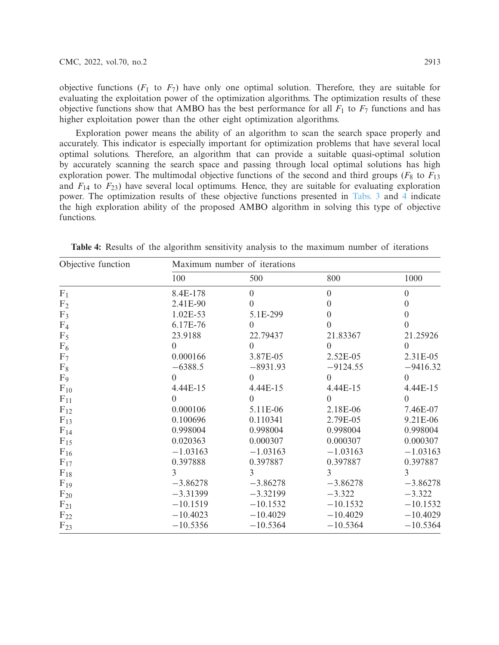objective functions  $(F_1 \text{ to } F_7)$  have only one optimal solution. Therefore, they are suitable for evaluating the exploitation power of the optimization algorithms. The optimization results of these objective functions show that AMBO has the best performance for all  $F_1$  to  $F_7$  functions and has higher exploitation power than the other eight optimization algorithms.

Exploration power means the ability of an algorithm to scan the search space properly and accurately. This indicator is especially important for optimization problems that have several local optimal solutions. Therefore, an algorithm that can provide a suitable quasi-optimal solution by accurately scanning the search space and passing through local optimal solutions has high exploration power. The multimodal objective functions of the second and third groups ( $F_8$  to  $F_{13}$ ) and  $F_{14}$  to  $F_{23}$ ) have several local optimums. Hence, they are suitable for evaluating exploration power. The optimization results of these objective functions presented in [Tabs. 3](#page-7-1) and [4](#page-8-0) indicate the high exploration ability of the proposed AMBO algorithm in solving this type of objective functions.

| Objective function | Maximum number of iterations |                |                  |                  |  |  |  |
|--------------------|------------------------------|----------------|------------------|------------------|--|--|--|
|                    | 100                          | 500            | 800              | 1000             |  |  |  |
| $F_1$              | 8.4E-178                     | $\overline{0}$ | $\boldsymbol{0}$ | $\boldsymbol{0}$ |  |  |  |
| F <sub>2</sub>     | 2.41E-90                     | $\Omega$       | $\theta$         | $\theta$         |  |  |  |
| F <sub>3</sub>     | 1.02E-53                     | 5.1E-299       | $\theta$         | $\boldsymbol{0}$ |  |  |  |
| F <sub>4</sub>     | 6.17E-76                     | $\Omega$       | $\Omega$         | $\Omega$         |  |  |  |
| $F_5$              | 23.9188                      | 22.79437       | 21.83367         | 21.25926         |  |  |  |
| $F_6$              | $\overline{0}$               | $\Omega$       | $\Omega$         | $\Omega$         |  |  |  |
| F <sub>7</sub>     | 0.000166                     | 3.87E-05       | 2.52E-05         | $2.31E-0.5$      |  |  |  |
| $F_8$              | $-6388.5$                    | $-8931.93$     | $-9124.55$       | $-9416.32$       |  |  |  |
| $F_9$              | $\Omega$                     | $\Omega$       | $\Omega$         | $\Omega$         |  |  |  |
| $F_{10}$           | 4.44E-15                     | 4.44E-15       | 4.44E-15         | 4.44E-15         |  |  |  |
| $F_{11}$           | $\Omega$                     | $\Omega$       | $\Omega$         | $\Omega$         |  |  |  |
| $F_{12}$           | 0.000106                     | 5.11E-06       | 2.18E-06         | 7.46E-07         |  |  |  |
| $F_{13}$           | 0.100696                     | 0.110341       | 2.79E-05         | 9.21E-06         |  |  |  |
| $F_{14}$           | 0.998004                     | 0.998004       | 0.998004         | 0.998004         |  |  |  |
| $F_{15}$           | 0.020363                     | 0.000307       | 0.000307         | 0.000307         |  |  |  |
| $F_{16}$           | $-1.03163$                   | $-1.03163$     | $-1.03163$       | $-1.03163$       |  |  |  |
| $F_{17}$           | 0.397888                     | 0.397887       | 0.397887         | 0.397887         |  |  |  |
| $F_{18}$           | 3                            | 3              | 3                | 3                |  |  |  |
| $F_{19}$           | $-3.86278$                   | $-3.86278$     | $-3.86278$       | $-3.86278$       |  |  |  |
| $F_{20}$           | $-3.31399$                   | $-3.32199$     | $-3.322$         | $-3.322$         |  |  |  |
| $F_{21}$           | $-10.1519$                   | $-10.1532$     | $-10.1532$       | $-10.1532$       |  |  |  |
| $F_{22}$           | $-10.4023$                   | $-10.4029$     | $-10.4029$       | $-10.4029$       |  |  |  |
| $F_{23}$           | $-10.5356$                   | $-10.5364$     | $-10.5364$       | $-10.5364$       |  |  |  |

<span id="page-8-0"></span>**Table 4:** Results of the algorithm sensitivity analysis to the maximum number of iterations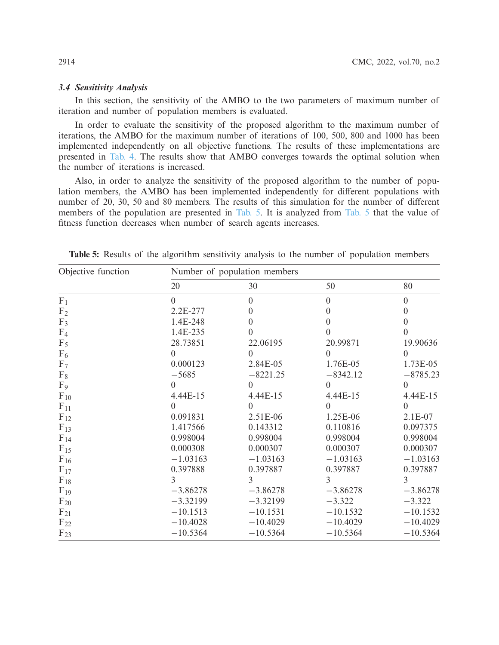## *3.4 Sensitivity Analysis*

In this section, the sensitivity of the AMBO to the two parameters of maximum number of iteration and number of population members is evaluated.

In order to evaluate the sensitivity of the proposed algorithm to the maximum number of iterations, the AMBO for the maximum number of iterations of 100, 500, 800 and 1000 has been implemented independently on all objective functions. The results of these implementations are presented in [Tab. 4.](#page-8-0) The results show that AMBO converges towards the optimal solution when the number of iterations is increased.

Also, in order to analyze the sensitivity of the proposed algorithm to the number of population members, the AMBO has been implemented independently for different populations with number of 20, 30, 50 and 80 members. The results of this simulation for the number of different members of the population are presented in [Tab. 5.](#page-9-0) It is analyzed from [Tab. 5](#page-9-0) that the value of fitness function decreases when number of search agents increases.

| Objective function | Number of population members |               |               |                |  |  |  |
|--------------------|------------------------------|---------------|---------------|----------------|--|--|--|
|                    | 20                           | 30            | 50            | 80             |  |  |  |
| F <sub>1</sub>     | $\Omega$                     | $\theta$      | $\theta$      | $\theta$       |  |  |  |
| F <sub>2</sub>     | 2.2E-277                     | 0             | $\Omega$      | $\overline{0}$ |  |  |  |
| F <sub>3</sub>     | 1.4E-248                     | $\Omega$      | $\Omega$      | $\theta$       |  |  |  |
| F <sub>4</sub>     | 1.4E-235                     | $\Omega$      | $\Omega$      | $\Omega$       |  |  |  |
| $F_5$              | 28.73851                     | 22.06195      | 20.99871      | 19.90636       |  |  |  |
| $F_6$              | $\Omega$                     | $\Omega$      | $\Omega$      | $\Omega$       |  |  |  |
| F <sub>7</sub>     | 0.000123                     | 2.84E-05      | 1.76E-05      | 1.73E-05       |  |  |  |
| $F_8$              | $-5685$                      | $-8221.25$    | $-8342.12$    | $-8785.23$     |  |  |  |
| $F_9$              | $\Omega$                     | $\Omega$      | $\Omega$      | $\Omega$       |  |  |  |
| $F_{10}$           | 4.44E-15                     | 4.44E-15      | 4.44E-15      | 4.44E-15       |  |  |  |
| $F_{11}$           | $\Omega$                     | $\Omega$      | $\Omega$      | $\Omega$       |  |  |  |
| $F_{12}$           | 0.091831                     | 2.51E-06      | 1.25E-06      | $2.1E-07$      |  |  |  |
| $F_{13}$           | 1.417566                     | 0.143312      | 0.110816      | 0.097375       |  |  |  |
| $F_{14}$           | 0.998004                     | 0.998004      | 0.998004      | 0.998004       |  |  |  |
| $F_{15}$           | 0.000308                     | 0.000307      | 0.000307      | 0.000307       |  |  |  |
| $F_{16}$           | $-1.03163$                   | $-1.03163$    | $-1.03163$    | $-1.03163$     |  |  |  |
| $F_{17}$           | 0.397888                     | 0.397887      | 0.397887      | 0.397887       |  |  |  |
| $F_{18}$           | 3                            | $\mathcal{F}$ | $\mathcal{F}$ | 3              |  |  |  |
| $F_{19}$           | $-3.86278$                   | $-3.86278$    | $-3.86278$    | $-3.86278$     |  |  |  |
| $F_{20}$           | $-3.32199$                   | $-3.32199$    | $-3.322$      | $-3.322$       |  |  |  |
| $F_{21}$           | $-10.1513$                   | $-10.1531$    | $-10.1532$    | $-10.1532$     |  |  |  |
| $F_{22}$           | $-10.4028$                   | $-10.4029$    | $-10.4029$    | $-10.4029$     |  |  |  |
| $F_{23}$           | $-10.5364$                   | $-10.5364$    | $-10.5364$    | $-10.5364$     |  |  |  |

<span id="page-9-0"></span>**Table 5:** Results of the algorithm sensitivity analysis to the number of population members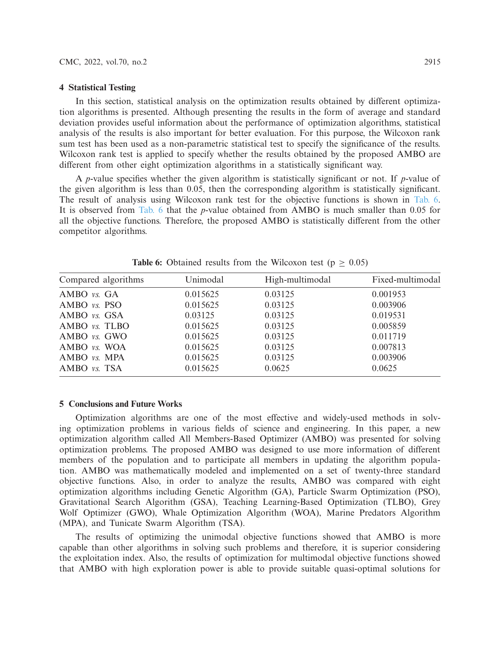#### **4 Statistical Testing**

In this section, statistical analysis on the optimization results obtained by different optimization algorithms is presented. Although presenting the results in the form of average and standard deviation provides useful information about the performance of optimization algorithms, statistical analysis of the results is also important for better evaluation. For this purpose, the Wilcoxon rank sum test has been used as a non-parametric statistical test to specify the significance of the results. Wilcoxon rank test is applied to specify whether the results obtained by the proposed AMBO are different from other eight optimization algorithms in a statistically significant way.

A *p*-value specifies whether the given algorithm is statistically significant or not. If *p*-value of the given algorithm is less than 0.05, then the corresponding algorithm is statistically significant. The result of analysis using Wilcoxon rank test for the objective functions is shown in [Tab. 6.](#page-10-0) It is observed from [Tab. 6](#page-10-0) that the *p*-value obtained from AMBO is much smaller than 0.05 for all the objective functions. Therefore, the proposed AMBO is statistically different from the other competitor algorithms.

<span id="page-10-0"></span>

| Compared algorithms | Unimodal | High-multimodal | Fixed-multimodal |
|---------------------|----------|-----------------|------------------|
| AMBO vs. GA         | 0.015625 | 0.03125         | 0.001953         |
| AMBO <i>vs.</i> PSO | 0.015625 | 0.03125         | 0.003906         |
| AMBO vs. GSA        | 0.03125  | 0.03125         | 0.019531         |
| AMBO vs. TLBO       | 0.015625 | 0.03125         | 0.005859         |
| AMBO vs. GWO        | 0.015625 | 0.03125         | 0.011719         |
| AMBO vs. WOA        | 0.015625 | 0.03125         | 0.007813         |
| AMBO vs. MPA        | 0.015625 | 0.03125         | 0.003906         |
| AMBO vs. TSA        | 0.015625 | 0.0625          | 0.0625           |

**Table 6:** Obtained results from the Wilcoxon test ( $p \geq 0.05$ )

## **5 Conclusions and Future Works**

Optimization algorithms are one of the most effective and widely-used methods in solving optimization problems in various fields of science and engineering. In this paper, a new optimization algorithm called All Members-Based Optimizer (AMBO) was presented for solving optimization problems. The proposed AMBO was designed to use more information of different members of the population and to participate all members in updating the algorithm population. AMBO was mathematically modeled and implemented on a set of twenty-three standard objective functions. Also, in order to analyze the results, AMBO was compared with eight optimization algorithms including Genetic Algorithm (GA), Particle Swarm Optimization (PSO), Gravitational Search Algorithm (GSA), Teaching Learning-Based Optimization (TLBO), Grey Wolf Optimizer (GWO), Whale Optimization Algorithm (WOA), Marine Predators Algorithm (MPA), and Tunicate Swarm Algorithm (TSA).

The results of optimizing the unimodal objective functions showed that AMBO is more capable than other algorithms in solving such problems and therefore, it is superior considering the exploitation index. Also, the results of optimization for multimodal objective functions showed that AMBO with high exploration power is able to provide suitable quasi-optimal solutions for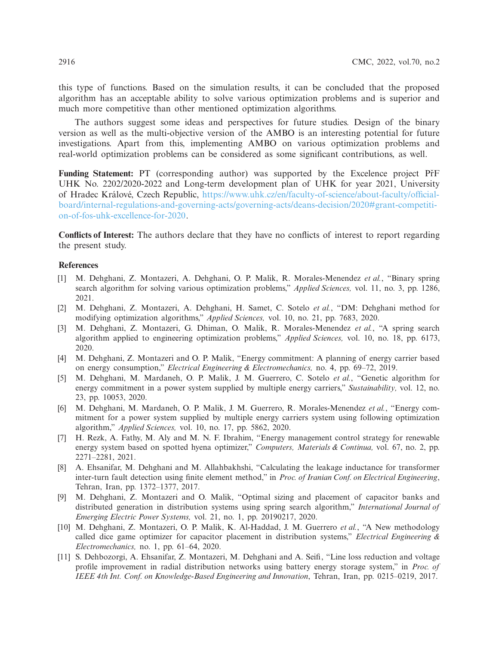this type of functions. Based on the simulation results, it can be concluded that the proposed algorithm has an acceptable ability to solve various optimization problems and is superior and much more competitive than other mentioned optimization algorithms.

The authors suggest some ideas and perspectives for future studies. Design of the binary version as well as the multi-objective version of the AMBO is an interesting potential for future investigations. Apart from this, implementing AMBO on various optimization problems and real-world optimization problems can be considered as some significant contributions, as well.

**Funding Statement:** PT (corresponding author) was supported by the Excelence project Pr<sup>F</sup> UHK No. 2202/2020-2022 and Long-term development plan of UHK for year 2021, University of Hradec Králové, Czech Republic, [https://www.uhk.cz/en/faculty-of-science/about-faculty/official](https://www.uhk.cz/en/faculty-of-science/about-faculty/official-board/internal-regulations-and-governing-acts/governing-acts/deans-decision/2020#grant-competition-of-fos-uhk-excellence-for-2020)[board/internal-regulations-and-governing-acts/governing-acts/deans-decision/2020#grant-competiti](https://www.uhk.cz/en/faculty-of-science/about-faculty/official-board/internal-regulations-and-governing-acts/governing-acts/deans-decision/2020#grant-competition-of-fos-uhk-excellence-for-2020)[on-of-fos-uhk-excellence-for-2020.](https://www.uhk.cz/en/faculty-of-science/about-faculty/official-board/internal-regulations-and-governing-acts/governing-acts/deans-decision/2020#grant-competition-of-fos-uhk-excellence-for-2020)

**Conflicts of Interest:** The authors declare that they have no conflicts of interest to report regarding the present study.

#### **References**

- <span id="page-11-0"></span>[1] M. Dehghani, Z. Montazeri, A. Dehghani, O. P. Malik, R. Morales-Menendez *et al.*, "Binary spring search algorithm for solving various optimization problems," *Applied Sciences,* vol. 11, no. 3, pp. 1286, 2021.
- <span id="page-11-1"></span>[2] M. Dehghani, Z. Montazeri, A. Dehghani, H. Samet, C. Sotelo *et al.*, "DM: Dehghani method for modifying optimization algorithms," *Applied Sciences,* vol. 10, no. 21, pp. 7683, 2020.
- <span id="page-11-2"></span>[3] M. Dehghani, Z. Montazeri, G. Dhiman, O. Malik, R. Morales-Menendez *et al.*, "A spring search algorithm applied to engineering optimization problems," *Applied Sciences,* vol. 10, no. 18, pp. 6173, 2020.
- <span id="page-11-3"></span>[4] M. Dehghani, Z. Montazeri and O. P. Malik, "Energy commitment: A planning of energy carrier based on energy consumption," *Electrical Engineering & Electromechanics,* no. 4, pp. 69–72, 2019.
- [5] M. Dehghani, M. Mardaneh, O. P. Malik, J. M. Guerrero, C. Sotelo *et al.*, "Genetic algorithm for energy commitment in a power system supplied by multiple energy carriers," *Sustainability,* vol. 12, no. 23, pp. 10053, 2020.
- [6] M. Dehghani, M. Mardaneh, O. P. Malik, J. M. Guerrero, R. Morales-Menendez *et al.*, "Energy commitment for a power system supplied by multiple energy carriers system using following optimization algorithm," *Applied Sciences,* vol. 10, no. 17, pp. 5862, 2020.
- <span id="page-11-4"></span>[7] H. Rezk, A. Fathy, M. Aly and M. N. F. Ibrahim, "Energy management control strategy for renewable energy system based on spotted hyena optimizer," *Computers, Materials & Continua,* vol. 67, no. 2, pp. 2271–2281, 2021.
- <span id="page-11-5"></span>[8] A. Ehsanifar, M. Dehghani and M. Allahbakhshi, "Calculating the leakage inductance for transformer inter-turn fault detection using finite element method," in *Proc. of Iranian Conf. on Electrical Engineering*, Tehran, Iran, pp. 1372–1377, 2017.
- <span id="page-11-6"></span>[9] M. Dehghani, Z. Montazeri and O. Malik, "Optimal sizing and placement of capacitor banks and distributed generation in distribution systems using spring search algorithm," *International Journal of Emerging Electric Power Systems,* vol. 21, no. 1, pp. 20190217, 2020.
- [10] M. Dehghani, Z. Montazeri, O. P. Malik, K. Al-Haddad, J. M. Guerrero *et al.*, "A New methodology called dice game optimizer for capacitor placement in distribution systems," *Electrical Engineering & Electromechanics,* no. 1, pp. 61–64, 2020.
- [11] S. Dehbozorgi, A. Ehsanifar, Z. Montazeri, M. Dehghani and A. Seifi, "Line loss reduction and voltage profile improvement in radial distribution networks using battery energy storage system," in *Proc. of IEEE 4th Int. Conf. on Knowledge-Based Engineering and Innovation*, Tehran, Iran, pp. 0215–0219, 2017.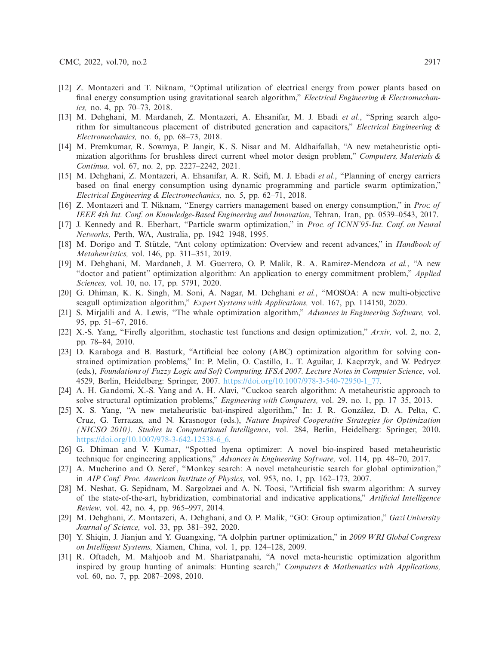- [12] Z. Montazeri and T. Niknam, "Optimal utilization of electrical energy from power plants based on final energy consumption using gravitational search algorithm," *Electrical Engineering & Electromechanics,* no. 4, pp. 70–73, 2018.
- [13] M. Dehghani, M. Mardaneh, Z. Montazeri, A. Ehsanifar, M. J. Ebadi *et al.*, "Spring search algorithm for simultaneous placement of distributed generation and capacitors," *Electrical Engineering & Electromechanics,* no. 6, pp. 68–73, 2018.
- <span id="page-12-0"></span>[14] M. Premkumar, R. Sowmya, P. Jangir, K. S. Nisar and M. Aldhaifallah, "A new metaheuristic optimization algorithms for brushless direct current wheel motor design problem," *Computers, Materials & Continua,* vol. 67, no. 2, pp. 2227–2242, 2021.
- <span id="page-12-1"></span>[15] M. Dehghani, Z. Montazeri, A. Ehsanifar, A. R. Seifi, M. J. Ebadi *et al.*, "Planning of energy carriers based on final energy consumption using dynamic programming and particle swarm optimization," *Electrical Engineering & Electromechanics,* no. 5, pp. 62–71, 2018.
- <span id="page-12-2"></span>[16] Z. Montazeri and T. Niknam, "Energy carriers management based on energy consumption," in *Proc. of IEEE 4th Int. Conf. on Knowledge-Based Engineering and Innovation*, Tehran, Iran, pp. 0539–0543, 2017.
- <span id="page-12-3"></span>[17] J. Kennedy and R. Eberhart, "Particle swarm optimization," in *Proc. of ICNN'95-Int. Conf. on Neural Networks*, Perth, WA, Australia, pp. 1942–1948, 1995.
- <span id="page-12-4"></span>[18] M. Dorigo and T. Stützle, "Ant colony optimization: Overview and recent advances," in *Handbook of Metaheuristics,* vol. 146, pp. 311–351, 2019.
- <span id="page-12-5"></span>[19] M. Dehghani, M. Mardaneh, J. M. Guerrero, O. P. Malik, R. A. Ramirez-Mendoza *et al.*, "A new "doctor and patient" optimization algorithm: An application to energy commitment problem," *Applied Sciences,* vol. 10, no. 17, pp. 5791, 2020.
- <span id="page-12-6"></span>[20] G. Dhiman, K. K. Singh, M. Soni, A. Nagar, M. Dehghani *et al.*, "MOSOA: A new multi-objective seagull optimization algorithm," *Expert Systems with Applications,* vol. 167, pp. 114150, 2020.
- <span id="page-12-7"></span>[21] S. Mirjalili and A. Lewis, "The whale optimization algorithm," *Advances in Engineering Software,* vol. 95, pp. 51–67, 2016.
- <span id="page-12-8"></span>[22] X.-S. Yang, "Firefly algorithm, stochastic test functions and design optimization," *Arxiv,* vol. 2, no. 2, pp. 78–84, 2010.
- <span id="page-12-9"></span>[23] D. Karaboga and B. Basturk, "Artificial bee colony (ABC) optimization algorithm for solving constrained optimization problems," In: P. Melin, O. Castillo, L. T. Aguilar, J. Kacprzyk, and W. Pedrycz (eds.), *Foundations of Fuzzy Logic and Soft Computing. IFSA 2007. Lecture Notes in Computer Science*, vol. 4529, Berlin, Heidelberg: Springer, 2007. [https://doi.org/10.1007/978-3-540-72950-1\\_77.](https://doi.org/10.1007/978-3-540-72950-1_77)
- <span id="page-12-10"></span>[24] A. H. Gandomi, X.-S. Yang and A. H. Alavi, "Cuckoo search algorithm: A metaheuristic approach to solve structural optimization problems," *Engineering with Computers,* vol. 29, no. 1, pp. 17–35, 2013.
- <span id="page-12-11"></span>[25] X. S. Yang, "A new metaheuristic bat-inspired algorithm," In: J. R. González, D. A. Pelta, C. Cruz, G. Terrazas, and N. Krasnogor (eds.), *Nature Inspired Cooperative Strategies for Optimization (NICSO 2010). Studies in Computational Intelligence*, vol. 284, Berlin, Heidelberg: Springer, 2010. [https://doi.org/10.1007/978-3-642-12538-6\\_6.](https://doi.org/10.1007/978-3-642-12538-6_6)
- <span id="page-12-12"></span>[26] G. Dhiman and V. Kumar, "Spotted hyena optimizer: A novel bio-inspired based metaheuristic technique for engineering applications," *Advances in Engineering Software,* vol. 114, pp. 48–70, 2017.
- <span id="page-12-13"></span>[27] A. Mucherino and O. Seref, "Monkey search: A novel metaheuristic search for global optimization," in *AIP Conf. Proc. American Institute of Physics*, vol. 953, no. 1, pp. 162–173, 2007.
- <span id="page-12-14"></span>[28] M. Neshat, G. Sepidnam, M. Sargolzaei and A. N. Toosi, "Artificial fish swarm algorithm: A survey of the state-of-the-art, hybridization, combinatorial and indicative applications," *Artificial Intelligence Review,* vol. 42, no. 4, pp. 965–997, 2014.
- <span id="page-12-15"></span>[29] M. Dehghani, Z. Montazeri, A. Dehghani, and O. P. Malik, "GO: Group optimization," *Gazi University Journal of Science,* vol. 33, pp. 381–392, 2020.
- <span id="page-12-16"></span>[30] Y. Shiqin, J. Jianjun and Y. Guangxing, "A dolphin partner optimization," in *2009 WRI Global Congress on Intelligent Systems,* Xiamen, China, vol. 1, pp. 124–128, 2009.
- <span id="page-12-17"></span>[31] R. Oftadeh, M. Mahjoob and M. Shariatpanahi, "A novel meta-heuristic optimization algorithm inspired by group hunting of animals: Hunting search," *Computers & Mathematics with Applications,* vol. 60, no. 7, pp. 2087–2098, 2010.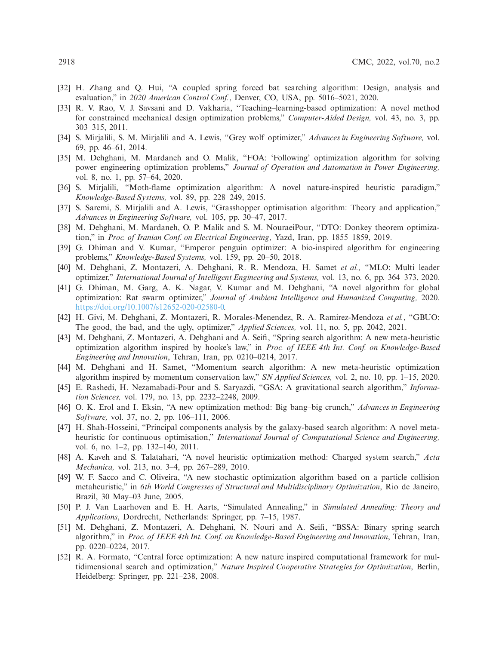- <span id="page-13-0"></span>[32] H. Zhang and Q. Hui, "A coupled spring forced bat searching algorithm: Design, analysis and evaluation," in *2020 American Control Conf.*, Denver, CO, USA, pp. 5016–5021, 2020.
- <span id="page-13-1"></span>[33] R. V. Rao, V. J. Savsani and D. Vakharia, "Teaching–learning-based optimization: A novel method for constrained mechanical design optimization problems," *Computer-Aided Design,* vol. 43, no. 3, pp. 303–315, 2011.
- <span id="page-13-2"></span>[34] S. Mirjalili, S. M. Mirjalili and A. Lewis, "Grey wolf optimizer," *Advances in Engineering Software,* vol. 69, pp. 46–61, 2014.
- <span id="page-13-3"></span>[35] M. Dehghani, M. Mardaneh and O. Malik, "FOA: 'Following' optimization algorithm for solving power engineering optimization problems," *Journal of Operation and Automation in Power Engineering,* vol. 8, no. 1, pp. 57–64, 2020.
- <span id="page-13-4"></span>[36] S. Mirjalili, "Moth-flame optimization algorithm: A novel nature-inspired heuristic paradigm," *Knowledge-Based Systems,* vol. 89, pp. 228–249, 2015.
- <span id="page-13-5"></span>[37] S. Saremi, S. Mirjalili and A. Lewis, "Grasshopper optimisation algorithm: Theory and application," *Advances in Engineering Software,* vol. 105, pp. 30–47, 2017.
- <span id="page-13-6"></span>[38] M. Dehghani, M. Mardaneh, O. P. Malik and S. M. NouraeiPour, "DTO: Donkey theorem optimization," in *Proc. of Iranian Conf. on Electrical Engineering*, Yazd, Iran, pp. 1855–1859, 2019.
- <span id="page-13-7"></span>[39] G. Dhiman and V. Kumar, "Emperor penguin optimizer: A bio-inspired algorithm for engineering problems," *Knowledge-Based Systems,* vol. 159, pp. 20–50, 2018.
- <span id="page-13-8"></span>[40] M. Dehghani, Z. Montazeri, A. Dehghani, R. R. Mendoza, H. Samet *et al.,* "MLO: Multi leader optimizer," *International Journal of Intelligent Engineering and Systems,* vol. 13, no. 6, pp. 364–373, 2020.
- <span id="page-13-9"></span>[41] G. Dhiman, M. Garg, A. K. Nagar, V. Kumar and M. Dehghani, "A novel algorithm for global optimization: Rat swarm optimizer," *Journal of Ambient Intelligence and Humanized Computing,* 2020. [https://doi.org/10.1007/s12652-020-02580-0.](https://doi.org/10.1007/s12652-020-02580-0)
- <span id="page-13-10"></span>[42] H. Givi, M. Dehghani, Z. Montazeri, R. Morales-Menendez, R. A. Ramirez-Mendoza *et al.*, "GBUO: The good, the bad, and the ugly, optimizer," *Applied Sciences,* vol. 11, no. 5, pp. 2042, 2021.
- <span id="page-13-11"></span>[43] M. Dehghani, Z. Montazeri, A. Dehghani and A. Seifi, "Spring search algorithm: A new meta-heuristic optimization algorithm inspired by hooke's law," in *Proc. of IEEE 4th Int. Conf. on Knowledge-Based Engineering and Innovation*, Tehran, Iran, pp. 0210–0214, 2017.
- <span id="page-13-12"></span>[44] M. Dehghani and H. Samet, "Momentum search algorithm: A new meta-heuristic optimization algorithm inspired by momentum conservation law," *SN Applied Sciences,* vol. 2, no. 10, pp. 1–15, 2020.
- <span id="page-13-13"></span>[45] E. Rashedi, H. Nezamabadi-Pour and S. Saryazdi, "GSA: A gravitational search algorithm," *Information Sciences,* vol. 179, no. 13, pp. 2232–2248, 2009.
- <span id="page-13-14"></span>[46] O. K. Erol and I. Eksin, "A new optimization method: Big bang–big crunch," *Advances in Engineering Software,* vol. 37, no. 2, pp. 106–111, 2006.
- <span id="page-13-15"></span>[47] H. Shah-Hosseini, "Principal components analysis by the galaxy-based search algorithm: A novel metaheuristic for continuous optimisation," *International Journal of Computational Science and Engineering,* vol. 6, no. 1–2, pp. 132–140, 2011.
- <span id="page-13-16"></span>[48] A. Kaveh and S. Talatahari, "A novel heuristic optimization method: Charged system search," *Acta Mechanica,* vol. 213, no. 3–4, pp. 267–289, 2010.
- <span id="page-13-17"></span>[49] W. F. Sacco and C. Oliveira, "A new stochastic optimization algorithm based on a particle collision metaheuristic," in *6th World Congresses of Structural and Multidisciplinary Optimization*, Rio de Janeiro, Brazil, 30 May–03 June, 2005.
- <span id="page-13-18"></span>[50] P. J. Van Laarhoven and E. H. Aarts, "Simulated Annealing," in *Simulated Annealing: Theory and Applications*, Dordrecht, Netherlands: Springer, pp. 7–15, 1987.
- <span id="page-13-19"></span>[51] M. Dehghani, Z. Montazeri, A. Dehghani, N. Nouri and A. Seifi, "BSSA: Binary spring search algorithm," in *Proc. of IEEE 4th Int. Conf. on Knowledge-Based Engineering and Innovation*, Tehran, Iran, pp. 0220–0224, 2017.
- <span id="page-13-20"></span>[52] R. A. Formato, "Central force optimization: A new nature inspired computational framework for multidimensional search and optimization," *Nature Inspired Cooperative Strategies for Optimization*, Berlin, Heidelberg: Springer, pp. 221–238, 2008.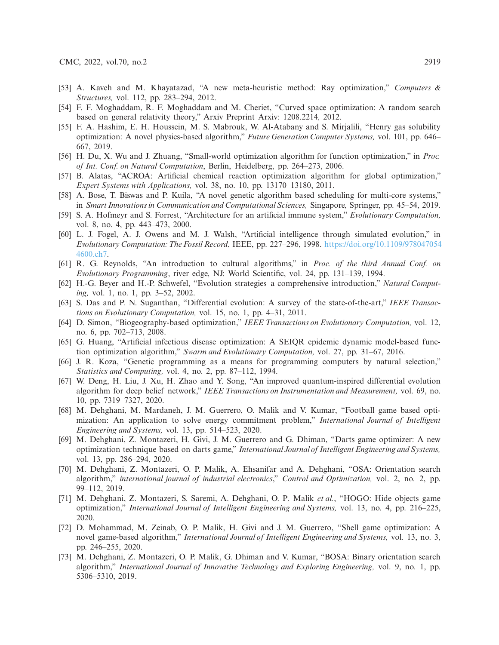- <span id="page-14-0"></span>[53] A. Kaveh and M. Khayatazad, "A new meta-heuristic method: Ray optimization," *Computers & Structures,* vol. 112, pp. 283–294, 2012.
- <span id="page-14-1"></span>[54] F. F. Moghaddam, R. F. Moghaddam and M. Cheriet, "Curved space optimization: A random search based on general relativity theory," Arxiv Preprint Arxiv: 1208.2214*,* 2012.
- <span id="page-14-2"></span>[55] F. A. Hashim, E. H. Houssein, M. S. Mabrouk, W. Al-Atabany and S. Mirjalili, "Henry gas solubility optimization: A novel physics-based algorithm," *Future Generation Computer Systems,* vol. 101, pp. 646– 667, 2019.
- <span id="page-14-3"></span>[56] H. Du, X. Wu and J. Zhuang, "Small-world optimization algorithm for function optimization," in *Proc. of Int. Conf. on Natural Computation*, Berlin, Heidelberg, pp. 264–273, 2006.
- <span id="page-14-4"></span>[57] B. Alatas, "ACROA: Artificial chemical reaction optimization algorithm for global optimization," *Expert Systems with Applications,* vol. 38, no. 10, pp. 13170–13180, 2011.
- <span id="page-14-5"></span>[58] A. Bose, T. Biswas and P. Kuila, "A novel genetic algorithm based scheduling for multi-core systems," in *Smart Innovations in Communication and Computational Sciences,* Singapore, Springer, pp. 45–54, 2019.
- <span id="page-14-6"></span>[59] S. A. Hofmeyr and S. Forrest, "Architecture for an artificial immune system," *Evolutionary Computation,* vol. 8, no. 4, pp. 443–473, 2000.
- <span id="page-14-7"></span>[60] L. J. Fogel, A. J. Owens and M. J. Walsh, "Artificial intelligence through simulated evolution," in *Evolutionary Computation:The Fossil Record*, IEEE, pp. 227–296, 1998. [https://doi.org/10.1109/978047054](https://doi.org/10.1109/9780470544600.ch7) [4600.ch7.](https://doi.org/10.1109/9780470544600.ch7)
- <span id="page-14-8"></span>[61] R. G. Reynolds, "An introduction to cultural algorithms," in *Proc. of the third Annual Conf. on Evolutionary Programming*, river edge, NJ: World Scientific, vol. 24, pp. 131–139, 1994.
- <span id="page-14-9"></span>[62] H.-G. Beyer and H.-P. Schwefel, "Evolution strategies–a comprehensive introduction," *Natural Computing,* vol. 1, no. 1, pp. 3–52, 2002.
- <span id="page-14-10"></span>[63] S. Das and P. N. Suganthan, "Differential evolution: A survey of the state-of-the-art," *IEEE Transactions on Evolutionary Computation,* vol. 15, no. 1, pp. 4–31, 2011.
- <span id="page-14-11"></span>[64] D. Simon, "Biogeography-based optimization," *IEEE Transactions on Evolutionary Computation,* vol. 12, no. 6, pp. 702–713, 2008.
- <span id="page-14-12"></span>[65] G. Huang, "Artificial infectious disease optimization: A SEIQR epidemic dynamic model-based function optimization algorithm," *Swarm and Evolutionary Computation,* vol. 27, pp. 31–67, 2016.
- <span id="page-14-13"></span>[66] J. R. Koza, "Genetic programming as a means for programming computers by natural selection," *Statistics and Computing,* vol. 4, no. 2, pp. 87–112, 1994.
- <span id="page-14-14"></span>[67] W. Deng, H. Liu, J. Xu, H. Zhao and Y. Song, "An improved quantum-inspired differential evolution algorithm for deep belief network," *IEEE Transactions on Instrumentation and Measurement,* vol. 69, no. 10, pp. 7319–7327, 2020.
- <span id="page-14-15"></span>[68] M. Dehghani, M. Mardaneh, J. M. Guerrero, O. Malik and V. Kumar, "Football game based optimization: An application to solve energy commitment problem," *International Journal of Intelligent Engineering and Systems,* vol. 13, pp. 514–523, 2020.
- <span id="page-14-16"></span>[69] M. Dehghani, Z. Montazeri, H. Givi, J. M. Guerrero and G. Dhiman, "Darts game optimizer: A new optimization technique based on darts game," *International Journal of Intelligent Engineering and Systems,* vol. 13, pp. 286–294, 2020.
- <span id="page-14-17"></span>[70] M. Dehghani, Z. Montazeri, O. P. Malik, A. Ehsanifar and A. Dehghani, "OSA: Orientation search algorithm," *international journal of industrial electronics*," *Control and Optimization,* vol. 2, no. 2, pp. 99–112, 2019.
- <span id="page-14-18"></span>[71] M. Dehghani, Z. Montazeri, S. Saremi, A. Dehghani, O. P. Malik *et al.*, "HOGO: Hide objects game optimization," *International Journal of Intelligent Engineering and Systems,* vol. 13, no. 4, pp. 216–225, 2020.
- <span id="page-14-19"></span>[72] D. Mohammad, M. Zeinab, O. P. Malik, H. Givi and J. M. Guerrero, "Shell game optimization: A novel game-based algorithm," *International Journal of Intelligent Engineering and Systems,* vol. 13, no. 3, pp. 246–255, 2020.
- <span id="page-14-20"></span>[73] M. Dehghani, Z. Montazeri, O. P. Malik, G. Dhiman and V. Kumar, "BOSA: Binary orientation search algorithm," *International Journal of Innovative Technology and Exploring Engineering,* vol. 9, no. 1, pp. 5306–5310, 2019.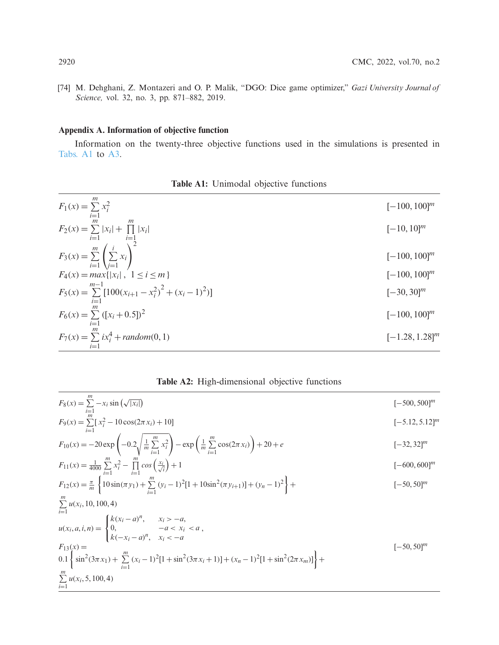<span id="page-15-0"></span>[74] M. Dehghani, Z. Montazeri and O. P. Malik, "DGO: Dice game optimizer," *Gazi University Journal of Science,* vol. 32, no. 3, pp. 871–882, 2019.

# **Appendix A. Information of objective function**

Information on the twenty-three objective functions used in the simulations is presented in [Tabs. A1](#page-15-1) to [A3.](#page-16-0)

| <b>Table A1:</b> Unimodal objective functions |  |
|-----------------------------------------------|--|
|-----------------------------------------------|--|

<span id="page-15-1"></span>

| $F_1(x) = \sum_{i=1}^{n} x_i^2$                                              | $[-100, 100]^m$   |
|------------------------------------------------------------------------------|-------------------|
| $F_2(x) = \sum_{i=1}  x_i  + \prod_{i=1}  x_i $                              | $[-10, 10]^m$     |
| $F_3(x) = \sum_{i=1}^{m} \left( \sum_{j=1}^{i} x_i \right)^2$                | $[-100, 100]^m$   |
| $F_4(x) = max\{ x_i , 1 \le i \le m\}$                                       | $[-100, 100]^m$   |
| $m-1$<br>$F_5(x) = \sum_{i=1}^{m-1} [100(x_{i+1} - x_i^2)^2 + (x_i - 1)^2)]$ | $[-30, 30]^m$     |
| $F_6(x) = \sum_{i=1} ([x_i + 0.5])^2$                                        | $[-100, 100]^m$   |
| $F_7(x) = \sum_{i=1}^{m} ix_i^4 + random(0, 1)$                              | $[-1.28, 1.28]^m$ |

**Table A2:** High-dimensional objective functions

| $F_8(x) = \sum_{i=1}^{m} -x_i \sin(\sqrt{ x_i })$                                                                                                       | $[-500, 500]^m$   |
|---------------------------------------------------------------------------------------------------------------------------------------------------------|-------------------|
| $F_9(x) = \sum_{i=1}^{m} [x_i^2 - 10\cos(2\pi x_i) + 10]$                                                                                               | $[-5.12, 5.12]^m$ |
| $F_{10}(x) = -20 \exp \left(-0.2 \sqrt{\frac{1}{m} \sum_{i=1}^{m} x_i^2}\right) - \exp \left(\frac{1}{m} \sum_{i=1}^{m} \cos(2\pi x_i)\right) + 20 + e$ | $[-32, 32]^m$     |
| $F_{11}(x) = \frac{1}{4000} \sum_{i=1}^{m} x_i^2 - \prod_{i=1}^{m} \cos\left(\frac{x_i}{\sqrt{i}}\right) + 1$                                           | $[-600, 600]^m$   |
| $F_{12}(x) = \frac{\pi}{m} \left\{ 10 \sin(\pi y_1) + \sum_{i=1}^{m} (y_i - 1)^2 [1 + 10 \sin^2(\pi y_{i+1})] + (y_n - 1)^2 \right\} +$                 | $[-50, 50]^{m}$   |
| $\sum_{i=1} u(x_i, 10, 100, 4)$                                                                                                                         |                   |
| $u(x_i, a, i, n) =\begin{cases} k(x_i - a)^n, & x_i > -a, \\ 0, & -a < x_i < a, \\ k(-x_i - a)^n, & x_i < -a \end{cases}$                               |                   |
| $F_{13}(x) =$<br>$0.1\left\{\sin^2(3\pi x_1)+\sum_{i=1}^m(x_i-1)^2[1+\sin^2(3\pi x_i+1)]+(x_n-1)^2[1+\sin^2(2\pi x_m)]\right\}+$                        | $[-50, 50]^m$     |
| $\sum_{i=1} u(x_i, 5, 100, 4)$                                                                                                                          |                   |